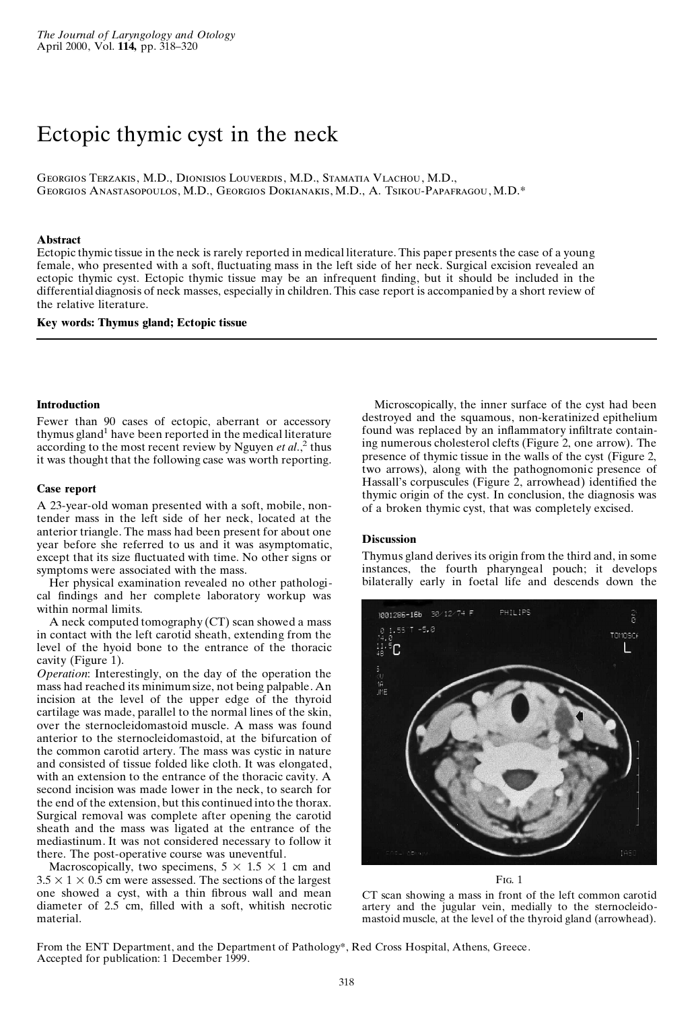# Ectopic thymic cyst in the neck

Georgios Terzakis, M.D., Dionisios Louverdis, M.D., Stamatia Vlachou, M.D., Georgios Anastasopoulos, M.D., Georgios Dokianakis, M.D., A. Tsikou-Papafragou, M.D.\*

## **Abstract**

Ectopic thymic tissue in the neck is rarely reported in medical literature. This paper presents the case of a young female, who presented with a soft, fluctuating mass in the left side of her neck. Surgical excision revealed an ectopic thymic cyst. Ectopic thymic tissue may be an infrequent finding, but it should be included in the differential diagnosis of neck masses, especially in children. This case report is accompanied by a short review of the relative literature.

## **Key words: Thymus gland; Ectopic tissue**

## **Introduction**

Fewer than 90 cases of ectopic, aberrant or accessory thymus gland <sup>1</sup> have been reported in the medical literature according to the most recent review by Nguyen *et al.*<sup>2</sup> thus it was thought that the following case was worth reporting.

### **Case report**

A 23-year-old woman presented with a soft, mobile, nontender mass in the left side of her neck, located at the anterior triangle. The mass had been present for about one year before she referred to us and it was asymptomatic, except that its size fluctuated with time. No other signs or symptoms were associated with the mass.

Her physical examination revealed no other pathologi cal findings and her complete laboratory workup was within normal limits.

A neck computed tomography (CT) scan showed a mass in contact with the left carotid sheath, extending from the level of the hyoid bone to the entrance of the thoracic cavity (Figure 1).

*Operation*: Interestingly, on the day of the operation the mass had reached its minimum size, not being palpable. An incision at the level of the upper edge of the thyroid cartilage was made, parallel to the normal lines of the skin, over the sternocleidomastoid muscle. A mass was found anterior to the sternocleidomastoid, at the bifurcation of the common carotid artery. The mass was cystic in nature and consisted of tissue folded like cloth. It was elongated, with an extension to the entrance of the thoracic cavity. A second incision was made lower in the neck, to search for the end of the extension, but this continued into the thorax. Surgical removal was complete after opening the carotid sheath and the mass was ligated at the entrance of the mediastinum. It was not considered necessary to follow it there. The post-operative course was uneventful.

Macroscopically, two specimens,  $5 \times 1.5 \times 1$  cm and  $3.5 \times 1 \times 0.5$  cm were assessed. The sections of the largest one showed a cyst, with a thin fibrous wall and mean diameter of  $2.5$  cm, filled with a soft, whitish necrotic material.

Microscopically, the inner surface of the cyst had been destroyed and the squamous, non-keratinized epithelium found was replaced by an inflammatory infiltrate containing numerous cholesterol clefts (Figure 2, one arrow). The presence of thymic tissue in the walls of the cyst (Figure 2, two arrows), along with the pathognomonic presence of Hassall's corpuscules (Figure 2, arrowhead) identified the thymic origin of the cyst. In conclusion, the diagnosis was of a broken thymic cyst, that was completely excised.

## **Discussion**

Thymus gland derives its origin from the third and, in some instances, the fourth pharyngeal pouch; it develops bilaterally early in foetal life and descends down the



F<sub>IG</sub> 1

CT scan showing a mass in front of the left common carotid artery and the jugular vein, medially to the sternocleido mastoid muscle, at the level of the thyroid gland (arrowhead).

From the ENT Department, and the Department of Pathology\*, Red Cross Hospital, Athens, Greece. Accepted for publication: 1 December 1999.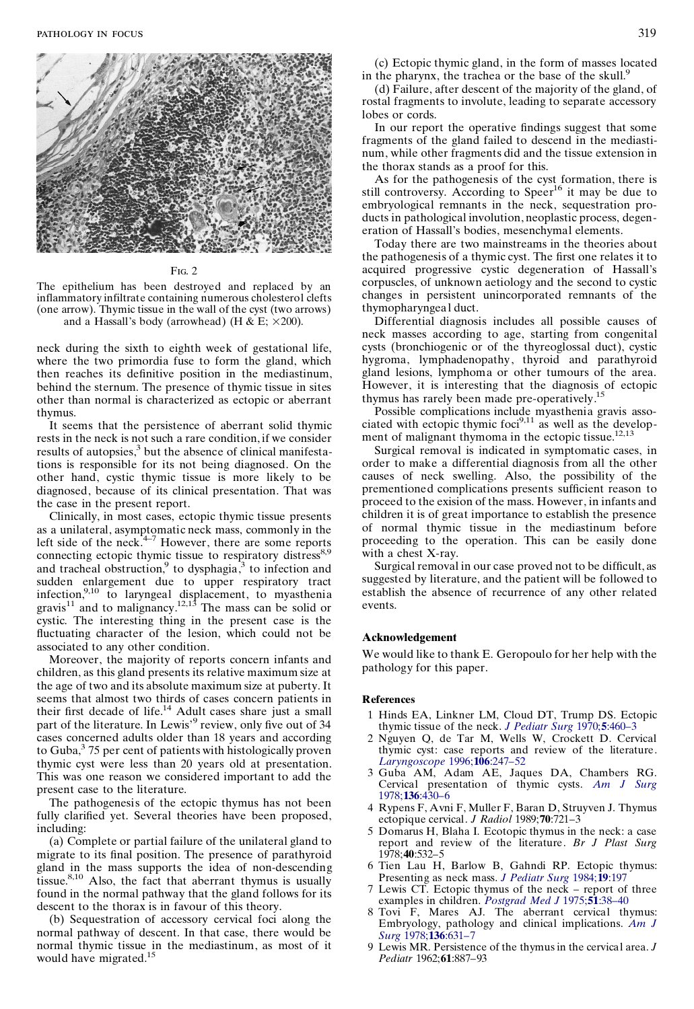

#### Fig. 2

The epithelium has been destroyed and replaced by an inflammatory infiltrate containing numerous cholesterol clefts (one arrow). Thymic tissue in the wall of the cyst (two arrows) and a Hassall's body (arrowhead) (H & E;  $\times 200$ ).

neck during the sixth to eighth week of gestational life, where the two primordia fuse to form the gland, which then reaches its definitive position in the mediastinum, behind the sternum. The presence of thymic tissue in sites other than normal is characterized as ectopic or aberrant thymus.

It seems that the persistence of aberrant solid thymic rests in the neck is not such a rare condition, if we consider results of autopsies, $3$  but the absence of clinical manifestations is responsible for its not being diagnosed. On the other hand, cystic thymic tissue is more likely to be diagnosed, because of its clinical presentation. That was the case in the present report.

Clinically, in most cases, ectopic thymic tissue presents as a unilateral, asymptomatic neck mass, commonly in the left side of the neck. $4-7$  However, there are some reports connecting ectopic thymic tissue to respiratory distress 8,9 and tracheal obstruction,<sup>9</sup> to dysphagia,<sup>3</sup> to infection and sudden enlargement due to upper respiratory tract infection, $9,10$  to laryngeal displacement, to myasthenia gravis<sup>11</sup> and to malignancy.<sup>12,13</sup> The mass can be solid or cystic. The interesting thing in the present case is the fluctuating character of the lesion, which could not be associated to any other condition.

Moreover, the majority of reports concern infants and children, as this gland presents its relative maximum size at the age of two and its absolute maximum size at puberty. It seems that almost two thirds of cases concern patients in their first decade of life.<sup>14</sup> Adult cases share just a small part of the literature. In Lewis<sup>39</sup> review, only five out of 34 cases concerned adults older than 18 years and according to Guba,<sup>3</sup> 75 per cent of patients with histologically proven thymic cyst were less than 20 years old at presentation. This was one reason we considered important to add the present case to the literature.

The pathogenesis of the ectopic thymus has not been fully clarified yet. Several theories have been proposed, including:

(a) Complete or partial failure of the unilateral gland to migrate to its final position. The presence of parathyroid gland in the mass supports the idea of non-descending tissue.<sup>8,10</sup> Also, the fact that aberrant thymus is usually found in the normal pathway that the gland follows for its descent to the thorax is in favour of this theory.

(b) Sequestration of accessory cervical foci along the normal pathway of descent. In that case, there would be normal thymic tissue in the mediastinum, as most of it would have migrated.<sup>15</sup>

(c) Ectopic thymic gland, in the form of masses located in the pharynx, the trachea or the base of the skull.<sup>5</sup>

(d) Failure, after descent of the majority of the gland, of rostal fragments to involute, leading to separate accessory lobes or cords.

In our report the operative findings suggest that some fragments of the gland failed to descend in the mediasti num, while other fragments did and the tissue extension in the thorax stands as a proof for this.

As for the pathogenesis of the cyst formation, there is still controversy. According to Speer<sup>16</sup> it may be due to embryological remnants in the neck, sequestration pro ducts in pathological involution, neoplastic process, degen eration of Hassall's bodies, mesenchymal elements.

Today there are two mainstreams in the theories about the pathogenesis of a thymic cyst. The first one relates it to acquired progressive cystic degeneration of Hassall's corpuscles, of unknown aetiology and the second to cystic changes in persistent unincorporated remnants of the thymopharyngeal duct.

Differential diagnosis includes all possible causes of neck masses according to age, starting from congenital cysts (bronchiogenic or of the thyreoglossal duct), cystic hygroma, lymphadenopathy, thyroid and parathyroid gland lesions, lymphoma or other tumours of the area. However, it is interesting that the diagnosis of ectopic thymus has rarely been made pre-operatively.<sup>15</sup>

Possible complications include myasthenia gravis asso ciated with ectopic thymic foci $9,11$  as well as the development of malignant thymoma in the ectopic tissue.<sup>12,13</sup>

Surgical removal is indicated in symptomatic cases, in order to make a differential diagnosis from all the other causes of neck swelling. Also, the possibility of the prementioned complications presents sufficient reason to proceed to the exision of the mass. However, in infants and children it is of great importance to establish the presence of normal thymic tissue in the mediastinum before proceeding to the operation. This can be easily done with a chest X-ray.

Surgical removal in our case proved not to be difficult, as suggested by literature, and the patient will be followed to establish the absence of recurrence of any other related events.

## **Acknowledgement**

We would like to thank E. Geropoulo for her help with the pathology for this paper.

#### **References**

- 1 Hinds EA, Linkner LM, Cloud DT, Trump DS. Ectopic thymic tissue of the neck. *J [Pediatr](http://lucia.catchword.com/nw=1/rpsv/0022-3468^281970^295L.460[aid=554107,nlm=5506355]) Surg* 1970;**5**:460–3
- 2 Nguyen Q, de Tar M, Wells W, Crockett D. Cervical thymic cyst: case reports and review of the literature. *[Laryngoscope](http://lucia.catchword.com/nw=1/rpsv/0023-852X^281996^29106L.247[aid=554108])* 1996;**106**:247–52
- 3 Guba AM, Adam AE, Jaques DA, Chambers RG. Cervical presentation of thymic cysts. *Am J [Surg](http://lucia.catchword.com/nw=1/rpsv/0002-9610^281978^29136L.430[aid=554109,nlm=707721])* 1978;**136**[:430–6](http://lucia.catchword.com/nw=1/rpsv/0002-9610^281978^29136L.430[aid=554109,nlm=707721])
- 4 Rypens F, Avni F, Muller F, Baran D, Struyven J. Thymus ectopique cervical. *J Radiol* 1989;**70**:721–3
- 5 Domarus H, Blaha I. Ecotopic thymus in the neck: a case report and review of the literature. *Br J Plast Surg* 1978;**40**:532–5
- 6 Tien Lau H, Barlow B, Gahndi RP. Ectopic thymus: Presenting as neck mass. *J [Pediatr](http://lucia.catchword.com/nw=1/rpsv/0022-3468^281984^2919L.197[aid=554111,nlm=6726580]) Surg* 1984;**19**:197
- 7 Lewis CT. Ectopic thymus of the neck report of three examples in children. *[Postgrad](http://lucia.catchword.com/nw=1/rpsv/0032-5473^281975^2951L.38[aid=554112]) Med J* 1975;**51**:38–40
- Tovi F, Mares AJ. The aberrant cervical thymus: Embryology, pathology and clinical implications. *[Am](http://lucia.catchword.com/nw=1/rpsv/0002-9610^281978^29136L.631[aid=554113,nlm=707745]) J Surg* 1978;**136**[:631–7](http://lucia.catchword.com/nw=1/rpsv/0002-9610^281978^29136L.631[aid=554113,nlm=707745])
- 9 Lewis MR. Persistence of the thymusin the cervical area. *J Pediatr* 1962;**61**:887–93